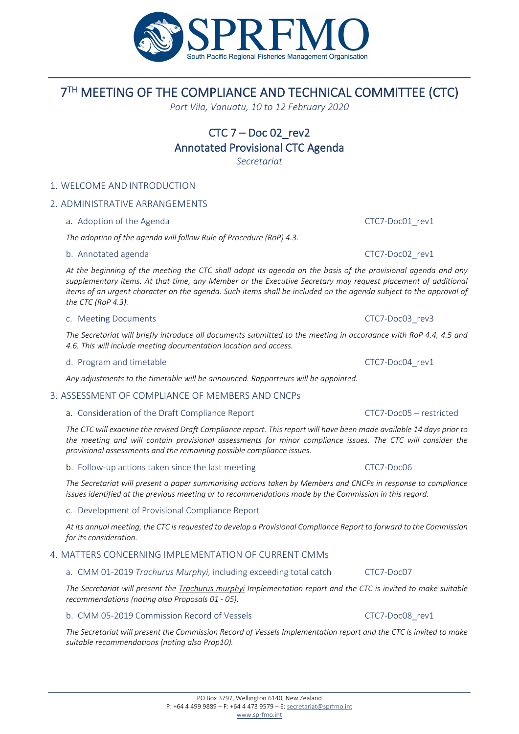# 7TH MEETING OF THE COMPLIANCE AND TECHNICAL COMMITTEE (CTC)

*Port Vila, Vanuatu, 10 to 12 February 2020*

# $CTC$   $7 - Doc$  02 rev2 Annotated Provisional CTC Agenda

*Secretariat*

#### 1. WELCOME AND INTRODUCTION

#### 2. ADMINISTRATIVE ARRANGEMENTS

a. Adoption of the Agenda **CTC7-Doc01** rev1

*The adoption of the agenda will follow Rule of Procedure (RoP) 4.3.*

#### b. Annotated agenda CTC7-Doc02 rev1

*At the beginning of the meeting the CTC shall adopt its agenda on the basis of the provisional agenda and any supplementary items. At that time, any Member or the Executive Secretary may request placement of additional items of an urgent character on the agenda. Such items shall be included on the agenda subject to the approval of the CTC (RoP 4.3).*

#### c. Meeting Documents CTC7-Doc03\_rev3

*The Secretariat will briefly introduce all documents submitted to the meeting in accordance with RoP 4.4, 4.5 and 4.6. This will include meeting documentation location and access.*

d. Program and timetable contract contract the CTC7-Doc04 rev1

*Any adjustments to the timetable will be announced. Rapporteurs will be appointed.*

#### 3. ASSESSMENT OF COMPLIANCE OF MEMBERS AND CNCPs

#### a. Consideration of the Draft Compliance Report CTC7-Doc05 – restricted

*The CTC will examine the revised Draft Compliance report. This report will have been made available 14 days prior to the meeting and will contain provisional assessments for minor compliance issues. The CTC will consider the provisional assessments and the remaining possible compliance issues.*

b. Follow-up actions taken since the last meeting CTC7-Doc06

*The Secretariat will present a paper summarising actions taken by Members and CNCPs in response to compliance issues identified at the previous meeting or to recommendations made by the Commission in this regard.*

#### c. Development of Provisional Compliance Report

*At its annual meeting, the CTC is requested to develop a Provisional Compliance Report to forward to the Commission for its consideration.*

#### 4. MATTERS CONCERNING IMPLEMENTATION OF CURRENT CMMs

#### a. CMM 01-2019 *Trachurus Murphyi,* including exceeding total catch CTC7-Doc07

*The Secretariat will present the Trachurus murphyi Implementation report and the CTC is invited to make suitable recommendations (noting also Proposals 01 - 05).*

#### b. CMM 05-2019 Commission Record of Vessels CTC7-Doc08 rev1

*The Secretariat will present the Commission Record of Vessels Implementation report and the CTC is invited to make suitable recommendations (noting also Prop10).*

PO Box 3797, Wellington 6140, New Zealand P: +64 4 499 9889 – F: +64 4 473 9579 – E[: secretariat@sprfmo.int](mailto:secretariat@sprfmo.int) [www.sprfmo.int](http://www.sprfmo.int/)

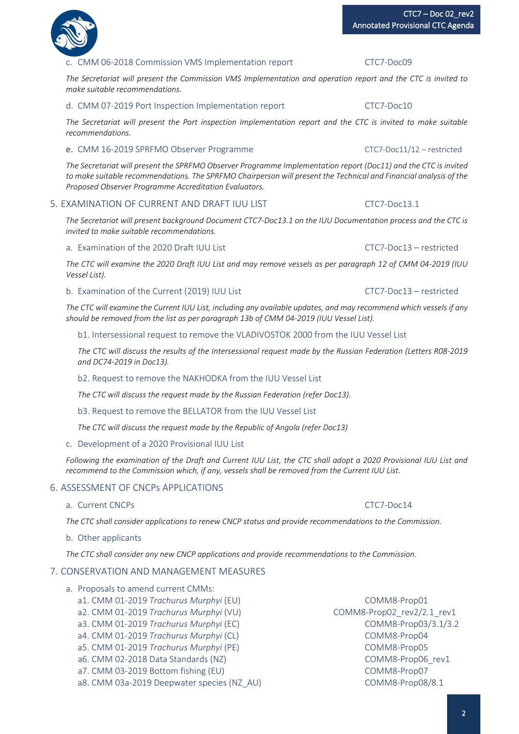# c. CMM 06-2018 Commission VMS Implementation report CTC7-Doc09

*The Secretariat will present the Commission VMS Implementation and operation report and the CTC is invited to make suitable recommendations.*

d. CMM 07-2019 Port Inspection Implementation report CTC7-Doc10

*The Secretariat will present the Port inspection Implementation report and the CTC is invited to make suitable recommendations.*

# e. CMM 16-2019 SPRFMO Observer Programme CTC7-Doc11/12 – restricted

*The Secretariat will present the SPRFMO Observer Programme Implementation report (Doc11) and the CTC is invited to make suitable recommendations. The SPRFMO Chairperson will present the Technical and Financial analysis of the Proposed Observer Programme Accreditation Evaluators.*

# 5. EXAMINATION OF CURRENT AND DRAFT IUU LIST CTCT-Doc13.1

*The Secretariat will present background Document CTC7-Doc13.1 on the IUU Documentation process and the CTC is invited to make suitable recommendations.*

#### a. Examination of the 2020 Draft IUU List CTC7-Doc13 – restricted

*The CTC will examine the 2020 Draft IUU List and may remove vessels as per paragraph 12 of CMM 04-2019 (IUU Vessel List).*

#### b. Examination of the Current (2019) IUU List CTC7-Doc13 – restricted

*The CTC will examine the Current IUU List, including any available updates, and may recommend which vessels if any should be removed from the list as per paragraph 13b of CMM 04-2019 (IUU Vessel List).*

b1. Intersessional request to remove the VLADIVOSTOK 2000 from the IUU Vessel List

*The CTC will discuss the results of the Intersessional request made by the Russian Federation (Letters R08-2019 and DC74-2019 in Doc13).*

b2. Request to remove the NAKHODKA from the IUU Vessel List

*The CTC will discuss the request made by the Russian Federation (refer Doc13).*

b3. Request to remove the BELLATOR from the IUU Vessel List

*The CTC will discuss the request made by the Republic of Angola (refer Doc13)*

# c. Development of a 2020 Provisional IUU List

*Following the examination of the Draft and Current IUU List, the CTC shall adopt a 2020 Provisional IUU List and recommend to the Commission which, if any, vessels shall be removed from the Current IUU List.*

# 6. ASSESSMENT OF CNCPs APPLICATIONS

# a. Current CNCPs control control control control control control control control control control control control control control control control control control control control control control control control control contr

*The CTC shall consider applications to renew CNCP status and provide recommendations to the Commission.*

# b. Other applicants

*The CTC shall consider any new CNCP applications and provide recommendations to the Commission.*

# 7. CONSERVATION AND MANAGEMENT MEASURES

- a. Proposals to amend current CMMs:
	- a1. CMM 01-2019 *Trachurus Murphyi* (EU) COMM8-Prop01
	- a2. CMM 01-2019 *Trachurus Murphyi* (VU) COMM8-Prop02\_rev2/2.1\_rev1
	-
	- a4. CMM 01-2019 *Trachurus Murphyi* (CL) COMM8-Prop04
	- a5. CMM 01-2019 *Trachurus Murphyi* (PE) COMM8-Prop05
	- a6. CMM 02-2018 Data Standards (NZ) example to the community community community community community and the community community community community community community community community community community community com
	- a7. CMM 03-2019 Bottom fishing (EU) COMM8-Prop07
	- a8. CMM 03a-2019 Deepwater species (NZ\_AU) COMM8-Prop08/8.1
	- a3. CMM 01-2019 *Trachurus Murphyi* (EC) COMM8-Prop03/3.1/3.2